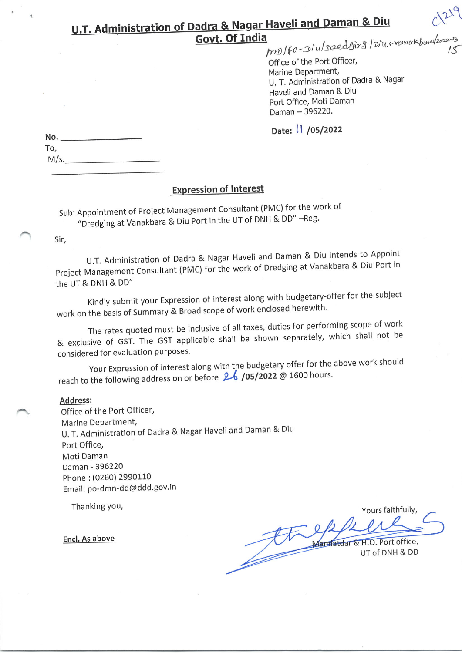# **U.T. Administration of Dadra & Nagar Haveli and Daman & Diu** ma/po-Diu/Dzedging/Diu.eranukboru/2022-23 **Govt. Of India**

Office of the Port Officer, Marine Department, U. T. Administration of Dadra & Nagar Haveli and Daman & Diu Port Office, Moti Daman Daman - 396220.

Date: 1 /05/2022

| No.  |  |
|------|--|
| To,  |  |
| M/s. |  |

## **Expression of Interest**

Sub: Appointment of Project Management Consultant (PMC) for the work of "Dredging at Vanakbara & Diu Port in the UT of DNH & DD" -Reg.

Sir,

U.T. Administration of Dadra & Nagar Haveli and Daman & Diu intends to Appoint Project Management Consultant (PMC) for the work of Dredging at Vanakbara & Diu Port in the UT & DNH & DD"

Kindly submit your Expression of interest along with budgetary-offer for the subject work on the basis of Summary & Broad scope of work enclosed herewith.

The rates quoted must be inclusive of all taxes, duties for performing scope of work & exclusive of GST. The GST applicable shall be shown separately, which shall not be considered for evaluation purposes.

Your Expression of interest along with the budgetary offer for the above work should reach to the following address on or before 26 /05/2022 @ 1600 hours.

#### Address:

Office of the Port Officer, Marine Department, U. T. Administration of Dadra & Nagar Haveli and Daman & Diu Port Office, Moti Daman Daman - 396220 Phone: (0260) 2990110 Email: po-dmn-dd@ddd.gov.in

Thanking you,

**Encl. As above** 

Yours faithfully, Mamfatdar & H.O. Port office, UT of DNH & DD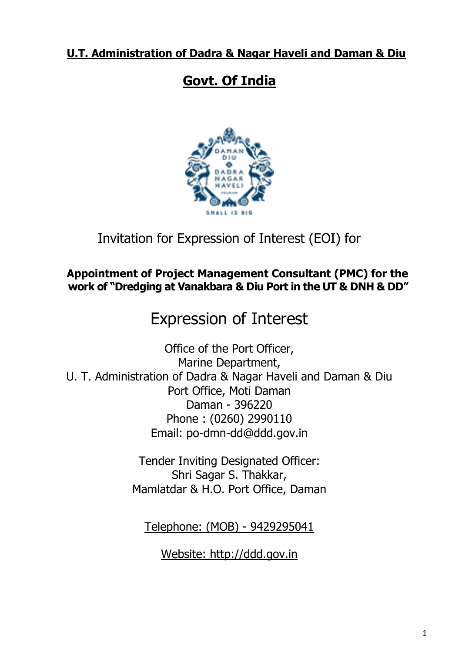# **U.T. Administration of Dadra & Nagar Haveli and Daman & Diu**

# **Govt. Of India**



# Invitation for Expression of Interest (EOI) for

## **Appointment of Project Management Consultant (PMC) for the work of "Dredging at Vanakbara & Diu Port in the UT & DNH & DD"**

# Expression of Interest

Office of the Port Officer, Marine Department, U. T. Administration of Dadra & Nagar Haveli and Daman & Diu Port Office, Moti Daman Daman - 396220 Phone : (0260) 2990110 Email: po-dmn-dd@ddd.gov.in

> Tender Inviting Designated Officer: Shri Sagar S. Thakkar, Mamlatdar & H.O. Port Office, Daman

Telephone: (MOB) - 9429295041

Website: http://ddd.gov.in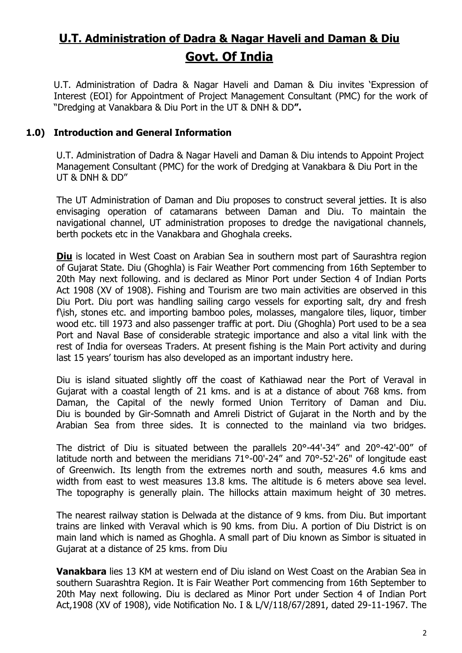# **U.T. Administration of Dadra & Nagar Haveli and Daman & Diu Govt. Of India**

U.T. Administration of Dadra & Nagar Haveli and Daman & Diu invites "Expression of Interest (EOI) for Appointment of Project Management Consultant (PMC) for the work of "Dredging at Vanakbara & Diu Port in the UT & DNH & DD**".**

#### **1.0) Introduction and General Information**

U.T. Administration of Dadra & Nagar Haveli and Daman & Diu intends to Appoint Project Management Consultant (PMC) for the work of Dredging at Vanakbara & Diu Port in the UT & DNH & DD"

The UT Administration of Daman and Diu proposes to construct several jetties. It is also envisaging operation of catamarans between Daman and Diu. To maintain the navigational channel, UT administration proposes to dredge the navigational channels, berth pockets etc in the Vanakbara and Ghoghala creeks.

**Diu** is located in West Coast on Arabian Sea in southern most part of Saurashtra region of Gujarat State. Diu (Ghoghla) is Fair Weather Port commencing from 16th September to 20th May next following. and is declared as Minor Port under Section 4 of Indian Ports Act 1908 (XV of 1908). Fishing and Tourism are two main activities are observed in this Diu Port. Diu port was handling sailing cargo vessels for exporting salt, dry and fresh f\ish, stones etc. and importing bamboo poles, molasses, mangalore tiles, liquor, timber wood etc. till 1973 and also passenger traffic at port. Diu (Ghoghla) Port used to be a sea Port and Naval Base of considerable strategic importance and also a vital link with the rest of India for overseas Traders. At present fishing is the Main Port activity and during last 15 years' tourism has also developed as an important industry here.

Diu is island situated slightly off the coast of Kathiawad near the Port of Veraval in Gujarat with a coastal length of 21 kms. and is at a distance of about 768 kms. from Daman, the Capital of the newly formed Union Territory of Daman and Diu. Diu is bounded by Gir-Somnath and Amreli District of Gujarat in the North and by the Arabian Sea from three sides. It is connected to the mainland via two bridges.

The district of Diu is situated between the parallels 20°-44'-34" and 20°-42'-00" of latitude north and between the meridians 71°-00'-24" and 70°-52'-26" of longitude east of Greenwich. Its length from the extremes north and south, measures 4.6 kms and width from east to west measures 13.8 kms. The altitude is 6 meters above sea level. The topography is generally plain. The hillocks attain maximum height of 30 metres.

The nearest railway station is Delwada at the distance of 9 kms. from Diu. But important trains are linked with Veraval which is 90 kms. from Diu. A portion of Diu District is on main land which is named as Ghoghla. A small part of Diu known as Simbor is situated in Gujarat at a distance of 25 kms. from Diu

**Vanakbara** lies 13 KM at western end of Diu island on West Coast on the Arabian Sea in southern Suarashtra Region. It is Fair Weather Port commencing from 16th September to 20th May next following. Diu is declared as Minor Port under Section 4 of Indian Port Act,1908 (XV of 1908), vide Notification No. I & L/V/118/67/2891, dated 29-11-1967. The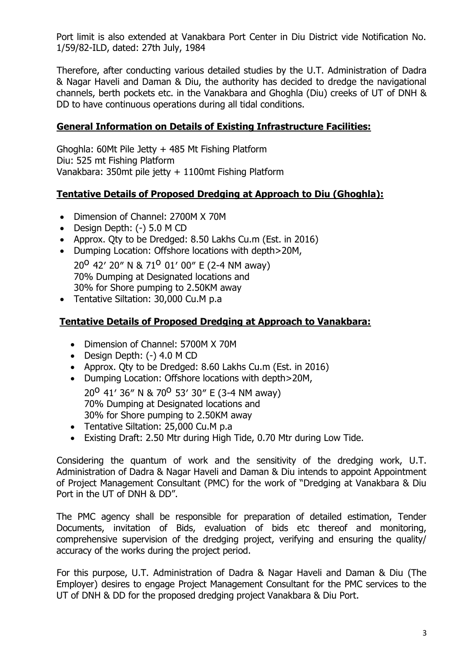Port limit is also extended at Vanakbara Port Center in Diu District vide Notification No. 1/59/82-ILD, dated: 27th July, 1984

Therefore, after conducting various detailed studies by the U.T. Administration of Dadra & Nagar Haveli and Daman & Diu, the authority has decided to dredge the navigational channels, berth pockets etc. in the Vanakbara and Ghoghla (Diu) creeks of UT of DNH & DD to have continuous operations during all tidal conditions.

### **General Information on Details of Existing Infrastructure Facilities:**

Ghoghla: 60Mt Pile Jetty + 485 Mt Fishing Platform Diu: 525 mt Fishing Platform Vanakbara: 350mt pile jetty + 1100mt Fishing Platform

#### **Tentative Details of Proposed Dredging at Approach to Diu (Ghoghla):**

- Dimension of Channel: 2700M X 70M
- Design Depth: (-) 5.0 M CD
- Approx. Qty to be Dredged: 8.50 Lakhs Cu.m (Est. in 2016)
- Dumping Location: Offshore locations with depth>20M,

20<sup>o</sup> 42' 20" N & 71<sup>o</sup> 01' 00" E (2-4 NM away) 70% Dumping at Designated locations and 30% for Shore pumping to 2.50KM away

• Tentative Siltation: 30,000 Cu.M p.a

### **Tentative Details of Proposed Dredging at Approach to Vanakbara:**

- Dimension of Channel: 5700M X 70M
- Design Depth: (-) 4.0 M CD
- Approx. Qty to be Dredged: 8.60 Lakhs Cu.m (Est. in 2016)
- Dumping Location: Offshore locations with depth>20M,

20<sup>o</sup> 41' 36" N & 70<sup>o</sup> 53' 30" E (3-4 NM away) 70% Dumping at Designated locations and 30% for Shore pumping to 2.50KM away

- Tentative Siltation: 25,000 Cu.M p.a
- Existing Draft: 2.50 Mtr during High Tide, 0.70 Mtr during Low Tide.

Considering the quantum of work and the sensitivity of the dredging work, U.T. Administration of Dadra & Nagar Haveli and Daman & Diu intends to appoint Appointment of Project Management Consultant (PMC) for the work of "Dredging at Vanakbara & Diu Port in the UT of DNH & DD".

The PMC agency shall be responsible for preparation of detailed estimation, Tender Documents, invitation of Bids, evaluation of bids etc thereof and monitoring, comprehensive supervision of the dredging project, verifying and ensuring the quality/ accuracy of the works during the project period.

For this purpose, U.T. Administration of Dadra & Nagar Haveli and Daman & Diu (The Employer) desires to engage Project Management Consultant for the PMC services to the UT of DNH & DD for the proposed dredging project Vanakbara & Diu Port.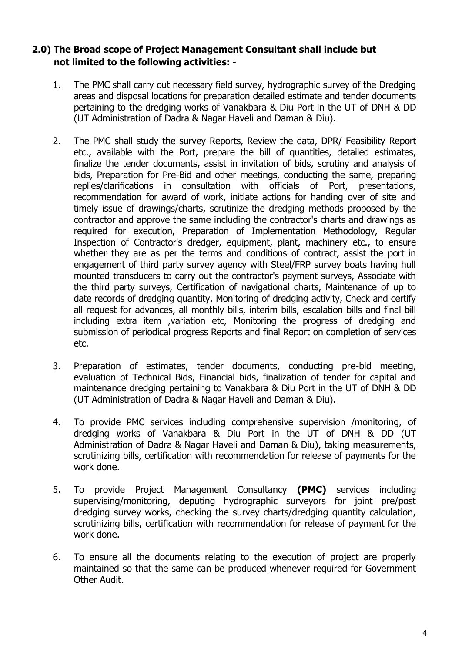### **2.0) The Broad scope of Project Management Consultant shall include but not limited to the following activities:** -

- 1. The PMC shall carry out necessary field survey, hydrographic survey of the Dredging areas and disposal locations for preparation detailed estimate and tender documents pertaining to the dredging works of Vanakbara & Diu Port in the UT of DNH & DD (UT Administration of Dadra & Nagar Haveli and Daman & Diu).
- 2. The PMC shall study the survey Reports, Review the data, DPR/ Feasibility Report etc., available with the Port, prepare the bill of quantities, detailed estimates, finalize the tender documents, assist in invitation of bids, scrutiny and analysis of bids, Preparation for Pre-Bid and other meetings, conducting the same, preparing replies/clarifications in consultation with officials of Port, presentations, recommendation for award of work, initiate actions for handing over of site and timely issue of drawings/charts, scrutinize the dredging methods proposed by the contractor and approve the same including the contractor's charts and drawings as required for execution, Preparation of Implementation Methodology, Regular Inspection of Contractor's dredger, equipment, plant, machinery etc., to ensure whether they are as per the terms and conditions of contract, assist the port in engagement of third party survey agency with Steel/FRP survey boats having hull mounted transducers to carry out the contractor's payment surveys, Associate with the third party surveys, Certification of navigational charts, Maintenance of up to date records of dredging quantity, Monitoring of dredging activity, Check and certify all request for advances, all monthly bills, interim bills, escalation bills and final bill including extra item ,variation etc, Monitoring the progress of dredging and submission of periodical progress Reports and final Report on completion of services etc.
- 3. Preparation of estimates, tender documents, conducting pre-bid meeting, evaluation of Technical Bids, Financial bids, finalization of tender for capital and maintenance dredging pertaining to Vanakbara & Diu Port in the UT of DNH & DD (UT Administration of Dadra & Nagar Haveli and Daman & Diu).
- 4. To provide PMC services including comprehensive supervision /monitoring, of dredging works of Vanakbara & Diu Port in the UT of DNH & DD (UT Administration of Dadra & Nagar Haveli and Daman & Diu), taking measurements, scrutinizing bills, certification with recommendation for release of payments for the work done.
- 5. To provide Project Management Consultancy **(PMC)** services including supervising/monitoring, deputing hydrographic surveyors for joint pre/post dredging survey works, checking the survey charts/dredging quantity calculation, scrutinizing bills, certification with recommendation for release of payment for the work done.
- 6. To ensure all the documents relating to the execution of project are properly maintained so that the same can be produced whenever required for Government Other Audit.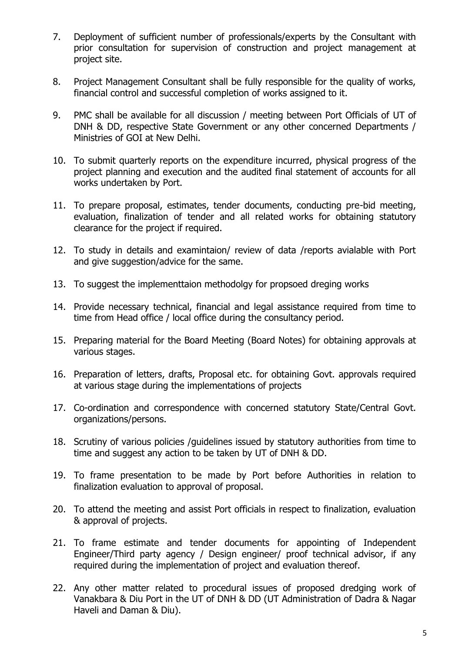- 7. Deployment of sufficient number of professionals/experts by the Consultant with prior consultation for supervision of construction and project management at project site.
- 8. Project Management Consultant shall be fully responsible for the quality of works, financial control and successful completion of works assigned to it.
- 9. PMC shall be available for all discussion / meeting between Port Officials of UT of DNH & DD, respective State Government or any other concerned Departments / Ministries of GOI at New Delhi.
- 10. To submit quarterly reports on the expenditure incurred, physical progress of the project planning and execution and the audited final statement of accounts for all works undertaken by Port.
- 11. To prepare proposal, estimates, tender documents, conducting pre-bid meeting, evaluation, finalization of tender and all related works for obtaining statutory clearance for the project if required.
- 12. To study in details and examintaion/ review of data /reports avialable with Port and give suggestion/advice for the same.
- 13. To suggest the implementtaion methodolgy for propsoed dreging works
- 14. Provide necessary technical, financial and legal assistance required from time to time from Head office / local office during the consultancy period.
- 15. Preparing material for the Board Meeting (Board Notes) for obtaining approvals at various stages.
- 16. Preparation of letters, drafts, Proposal etc. for obtaining Govt. approvals required at various stage during the implementations of projects
- 17. Co-ordination and correspondence with concerned statutory State/Central Govt. organizations/persons.
- 18. Scrutiny of various policies /guidelines issued by statutory authorities from time to time and suggest any action to be taken by UT of DNH & DD.
- 19. To frame presentation to be made by Port before Authorities in relation to finalization evaluation to approval of proposal.
- 20. To attend the meeting and assist Port officials in respect to finalization, evaluation & approval of projects.
- 21. To frame estimate and tender documents for appointing of Independent Engineer/Third party agency / Design engineer/ proof technical advisor, if any required during the implementation of project and evaluation thereof.
- 22. Any other matter related to procedural issues of proposed dredging work of Vanakbara & Diu Port in the UT of DNH & DD (UT Administration of Dadra & Nagar Haveli and Daman & Diu).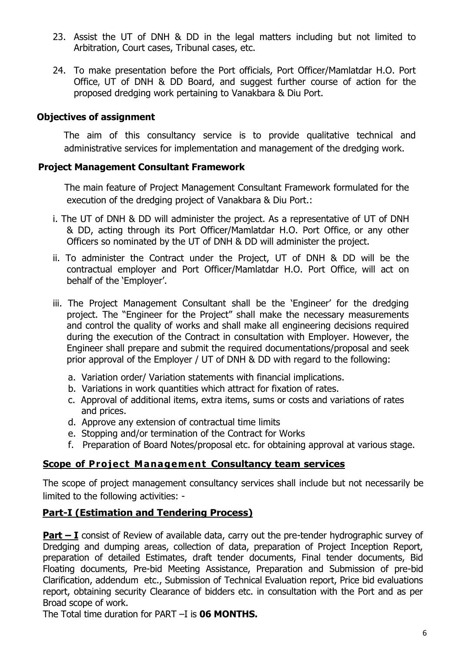- 23. Assist the UT of DNH & DD in the legal matters including but not limited to Arbitration, Court cases, Tribunal cases, etc.
- 24. To make presentation before the Port officials, Port Officer/Mamlatdar H.O. Port Office, UT of DNH & DD Board, and suggest further course of action for the proposed dredging work pertaining to Vanakbara & Diu Port.

#### **Objectives of assignment**

The aim of this consultancy service is to provide qualitative technical and administrative services for implementation and management of the dredging work.

#### **Project Management Consultant Framework**

 The main feature of Project Management Consultant Framework formulated for the execution of the dredging project of Vanakbara & Diu Port.:

- i. The UT of DNH & DD will administer the project. As a representative of UT of DNH & DD, acting through its Port Officer/Mamlatdar H.O. Port Office, or any other Officers so nominated by the UT of DNH & DD will administer the project.
- ii. To administer the Contract under the Project, UT of DNH & DD will be the contractual employer and Port Officer/Mamlatdar H.O. Port Office, will act on behalf of the 'Employer'.
- iii. The Project Management Consultant shall be the 'Engineer' for the dredging project. The "Engineer for the Project" shall make the necessary measurements and control the quality of works and shall make all engineering decisions required during the execution of the Contract in consultation with Employer. However, the Engineer shall prepare and submit the required documentations/proposal and seek prior approval of the Employer / UT of DNH & DD with regard to the following:
	- a. Variation order/ Variation statements with financial implications.
	- b. Variations in work quantities which attract for fixation of rates.
	- c. Approval of additional items, extra items, sums or costs and variations of rates and prices.
	- d. Approve any extension of contractual time limits
	- e. Stopping and/or termination of the Contract for Works
	- f. Preparation of Board Notes/proposal etc. for obtaining approval at various stage.

#### **Scope of Project Management Consultancy team services**

The scope of project management consultancy services shall include but not necessarily be limited to the following activities: -

#### **Part-I (Estimation and Tendering Process)**

**Part – I** consist of Review of available data, carry out the pre-tender hydrographic survey of Dredging and dumping areas, collection of data, preparation of Project Inception Report, preparation of detailed Estimates, draft tender documents, Final tender documents, Bid Floating documents, Pre-bid Meeting Assistance, Preparation and Submission of pre-bid Clarification, addendum etc., Submission of Technical Evaluation report, Price bid evaluations report, obtaining security Clearance of bidders etc. in consultation with the Port and as per Broad scope of work.

The Total time duration for PART –I is **06 MONTHS.**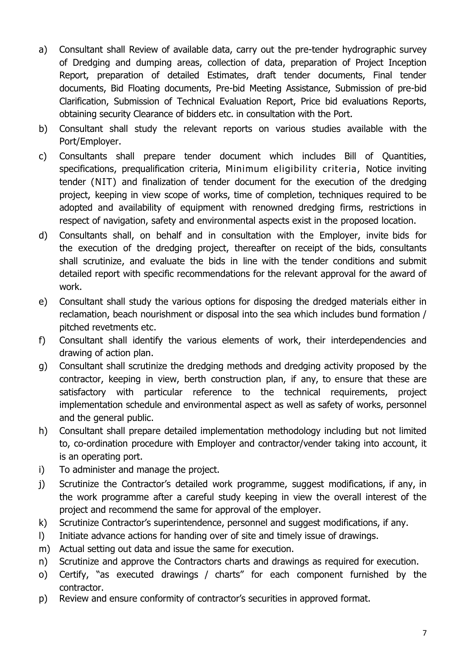- a) Consultant shall Review of available data, carry out the pre-tender hydrographic survey of Dredging and dumping areas, collection of data, preparation of Project Inception Report, preparation of detailed Estimates, draft tender documents, Final tender documents, Bid Floating documents, Pre-bid Meeting Assistance, Submission of pre-bid Clarification, Submission of Technical Evaluation Report, Price bid evaluations Reports, obtaining security Clearance of bidders etc. in consultation with the Port.
- b) Consultant shall study the relevant reports on various studies available with the Port/Employer.
- c) Consultants shall prepare tender document which includes Bill of Quantities, specifications, prequalification criteria, Minimum eligibility criteria, Notice inviting tender (NIT) and finalization of tender document for the execution of the dredging project, keeping in view scope of works, time of completion, techniques required to be adopted and availability of equipment with renowned dredging firms, restrictions in respect of navigation, safety and environmental aspects exist in the proposed location.
- d) Consultants shall, on behalf and in consultation with the Employer, invite bids for the execution of the dredging project, thereafter on receipt of the bids, consultants shall scrutinize, and evaluate the bids in line with the tender conditions and submit detailed report with specific recommendations for the relevant approval for the award of work.
- e) Consultant shall study the various options for disposing the dredged materials either in reclamation, beach nourishment or disposal into the sea which includes bund formation / pitched revetments etc.
- f) Consultant shall identify the various elements of work, their interdependencies and drawing of action plan.
- g) Consultant shall scrutinize the dredging methods and dredging activity proposed by the contractor, keeping in view, berth construction plan, if any, to ensure that these are satisfactory with particular reference to the technical requirements, project implementation schedule and environmental aspect as well as safety of works, personnel and the general public.
- h) Consultant shall prepare detailed implementation methodology including but not limited to, co-ordination procedure with Employer and contractor/vender taking into account, it is an operating port.
- i) To administer and manage the project.
- j) Scrutinize the Contractor's detailed work programme, suggest modifications, if any, in the work programme after a careful study keeping in view the overall interest of the project and recommend the same for approval of the employer.
- k) Scrutinize Contractor's superintendence, personnel and suggest modifications, if any.
- l) Initiate advance actions for handing over of site and timely issue of drawings.
- m) Actual setting out data and issue the same for execution.
- n) Scrutinize and approve the Contractors charts and drawings as required for execution.
- o) Certify, "as executed drawings / charts" for each component furnished by the contractor.
- p) Review and ensure conformity of contractor"s securities in approved format.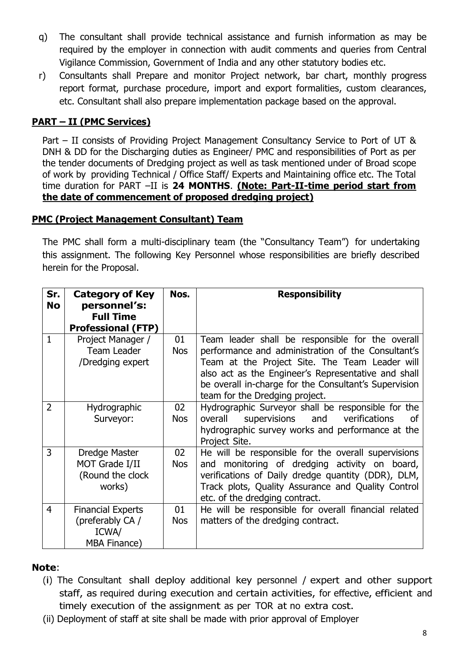- q) The consultant shall provide technical assistance and furnish information as may be required by the employer in connection with audit comments and queries from Central Vigilance Commission, Government of India and any other statutory bodies etc.
- r) Consultants shall Prepare and monitor Project network, bar chart, monthly progress report format, purchase procedure, import and export formalities, custom clearances, etc. Consultant shall also prepare implementation package based on the approval.

## **PART – II (PMC Services)**

Part – II consists of Providing Project Management Consultancy Service to Port of UT & DNH & DD for the Discharging duties as Engineer/ PMC and responsibilities of Port as per the tender documents of Dredging project as well as task mentioned under of Broad scope of work by providing Technical / Office Staff/ Experts and Maintaining office etc. The Total time duration for PART –II is **24 MONTHS**. **(Note: Part-II-time period start from the date of commencement of proposed dredging project)**

#### **PMC (Project Management Consultant) Team**

The PMC shall form a multi-disciplinary team (the "Consultancy Team") for undertaking this assignment. The following Key Personnel whose responsibilities are briefly described herein for the Proposal.

| Sr.<br><b>No</b> | <b>Category of Key</b><br>personnel's:                                       | Nos.             | <b>Responsibility</b>                                                                                                                                                                                                                                                                                      |
|------------------|------------------------------------------------------------------------------|------------------|------------------------------------------------------------------------------------------------------------------------------------------------------------------------------------------------------------------------------------------------------------------------------------------------------------|
|                  | <b>Full Time</b><br><b>Professional (FTP)</b>                                |                  |                                                                                                                                                                                                                                                                                                            |
| 1                | Project Manager /<br><b>Team Leader</b><br>/Dredging expert                  | 01<br><b>Nos</b> | Team leader shall be responsible for the overall<br>performance and administration of the Consultant's<br>Team at the Project Site. The Team Leader will<br>also act as the Engineer's Representative and shall<br>be overall in-charge for the Consultant's Supervision<br>team for the Dredging project. |
| $\overline{2}$   | Hydrographic<br>Surveyor:                                                    | 02<br><b>Nos</b> | Hydrographic Surveyor shall be responsible for the<br>supervisions and<br>overall<br>verifications<br>0f<br>hydrographic survey works and performance at the<br>Project Site.                                                                                                                              |
| 3                | Dredge Master<br>MOT Grade I/II<br>(Round the clock<br>works)                | 02<br><b>Nos</b> | He will be responsible for the overall supervisions<br>and monitoring of dredging activity on board,<br>verifications of Daily dredge quantity (DDR), DLM,<br>Track plots, Quality Assurance and Quality Control<br>etc. of the dredging contract.                                                         |
| $\overline{4}$   | <b>Financial Experts</b><br>(preferably CA /<br>ICWA/<br><b>MBA Finance)</b> | 01<br><b>Nos</b> | He will be responsible for overall financial related<br>matters of the dredging contract.                                                                                                                                                                                                                  |

## **Note**:

- (i) The Consultant shall deploy additional key personnel / expert and other support staff, as required during execution and certain activities, for effective, efficient and timely execution of the assignment as per TOR at no extra cost.
- (ii) Deployment of staff at site shall be made with prior approval of Employer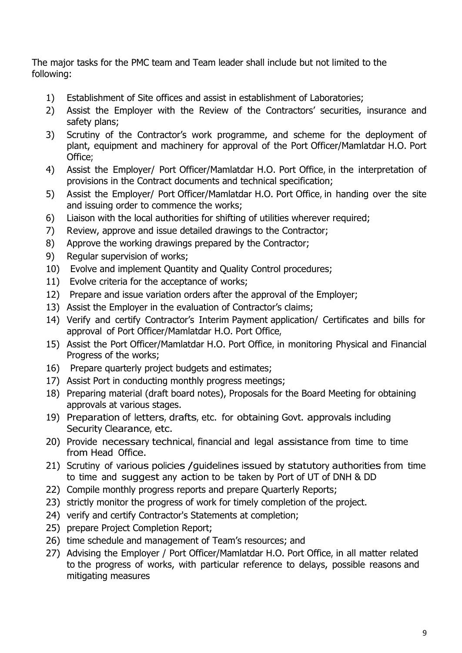The major tasks for the PMC team and Team leader shall include but not limited to the following:

- 1) Establishment of Site offices and assist in establishment of Laboratories;
- 2) Assist the Employer with the Review of the Contractors' securities, insurance and safety plans;
- 3) Scrutiny of the Contractor's work programme, and scheme for the deployment of plant, equipment and machinery for approval of the Port Officer/Mamlatdar H.O. Port Office;
- 4) Assist the Employer/ Port Officer/Mamlatdar H.O. Port Office, in the interpretation of provisions in the Contract documents and technical specification;
- 5) Assist the Employer/ Port Officer/Mamlatdar H.O. Port Office, in handing over the site and issuing order to commence the works;
- 6) Liaison with the local authorities for shifting of utilities wherever required;
- 7) Review, approve and issue detailed drawings to the Contractor;
- 8) Approve the working drawings prepared by the Contractor;
- 9) Regular supervision of works;
- 10) Evolve and implement Quantity and Quality Control procedures;
- 11) Evolve criteria for the acceptance of works;
- 12) Prepare and issue variation orders after the approval of the Employer;
- 13) Assist the Employer in the evaluation of Contractor's claims;
- 14) Verify and certify Contractor"s Interim Payment application/ Certificates and bills for approval of Port Officer/Mamlatdar H.O. Port Office,
- 15) Assist the Port Officer/Mamlatdar H.O. Port Office, in monitoring Physical and Financial Progress of the works;
- 16) Prepare quarterly project budgets and estimates;
- 17) Assist Port in conducting monthly progress meetings;
- 18) Preparing material (draft board notes), Proposals for the Board Meeting for obtaining approvals at various stages.
- 19) Preparation of letters, drafts, etc. for obtaining Govt. approvals including Security Clearance, etc.
- 20) Provide necessary technical, financial and legal assistance from time to time from Head Office.
- 21) Scrutiny of various policies / quidelines issued by statutory authorities from time to time and suggest any action to be taken by Port of UT of DNH & DD
- 22) Compile monthly progress reports and prepare Quarterly Reports;
- 23) strictly monitor the progress of work for timely completion of the project.
- 24) verify and certify Contractor's Statements at completion;
- 25) prepare Project Completion Report;
- 26) time schedule and management of Team"s resources; and
- 27) Advising the Employer / Port Officer/Mamlatdar H.O. Port Office, in all matter related to the progress of works, with particular reference to delays, possible reasons and mitigating measures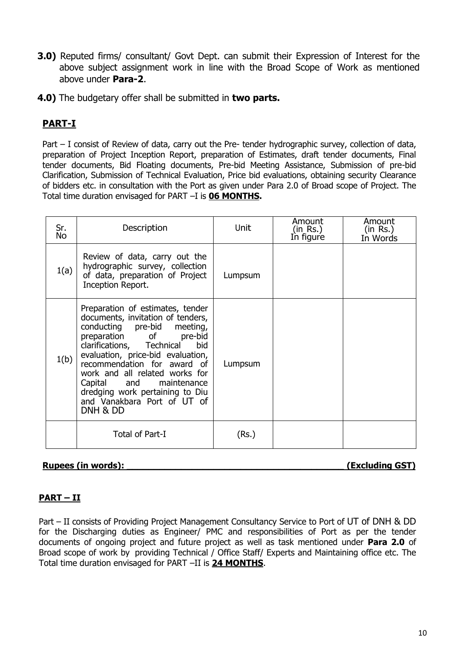- **3.0)** Reputed firms/ consultant/ Govt Dept. can submit their Expression of Interest for the above subject assignment work in line with the Broad Scope of Work as mentioned above under **Para-2**.
- **4.0)** The budgetary offer shall be submitted in **two parts.**

## **PART-I**

Part – I consist of Review of data, carry out the Pre- tender hydrographic survey, collection of data, preparation of Project Inception Report, preparation of Estimates, draft tender documents, Final tender documents, Bid Floating documents, Pre-bid Meeting Assistance, Submission of pre-bid Clarification, Submission of Technical Evaluation, Price bid evaluations, obtaining security Clearance of bidders etc. in consultation with the Port as given under Para 2.0 of Broad scope of Project. The Total time duration envisaged for PART –I is **06 MONTHS.**

| Sr.<br><b>No</b> | Description                                                                                                                                                                                                                                                                                                                                                                          | Unit    | Amount<br>(in Rs.)<br>In figure | Amount<br>(in Rs.)<br>In Words |
|------------------|--------------------------------------------------------------------------------------------------------------------------------------------------------------------------------------------------------------------------------------------------------------------------------------------------------------------------------------------------------------------------------------|---------|---------------------------------|--------------------------------|
| 1(a)             | Review of data, carry out the<br>hydrographic survey, collection<br>of data, preparation of Project<br>Inception Report.                                                                                                                                                                                                                                                             | Lumpsum |                                 |                                |
| 1(b)             | Preparation of estimates, tender<br>documents, invitation of tenders,<br>conducting pre-bid<br>meeting,<br>preparation of pre-bid<br>clarifications, Technical<br>bid<br>evaluation, price-bid evaluation,<br>recommendation for award of<br>work and all related works for<br>Capital and maintenance<br>dredging work pertaining to Diu<br>and Vanakbara Port of UT of<br>DNH & DD | Lumpsum |                                 |                                |
|                  | Total of Part-I                                                                                                                                                                                                                                                                                                                                                                      | (Rs.)   |                                 |                                |

#### Rupees (in words): **Music Contract Contract Contract Contract Contract Contract Contract Contract Contract Contract Contract Contract Contract Contract Contract Contract Contract Contract Contract Contract Contract Contrac**

#### **PART – II**

Part – II consists of Providing Project Management Consultancy Service to Port of UT of DNH & DD for the Discharging duties as Engineer/ PMC and responsibilities of Port as per the tender documents of ongoing project and future project as well as task mentioned under **Para 2.0** of Broad scope of work by providing Technical / Office Staff/ Experts and Maintaining office etc. The Total time duration envisaged for PART –II is **24 MONTHS**.